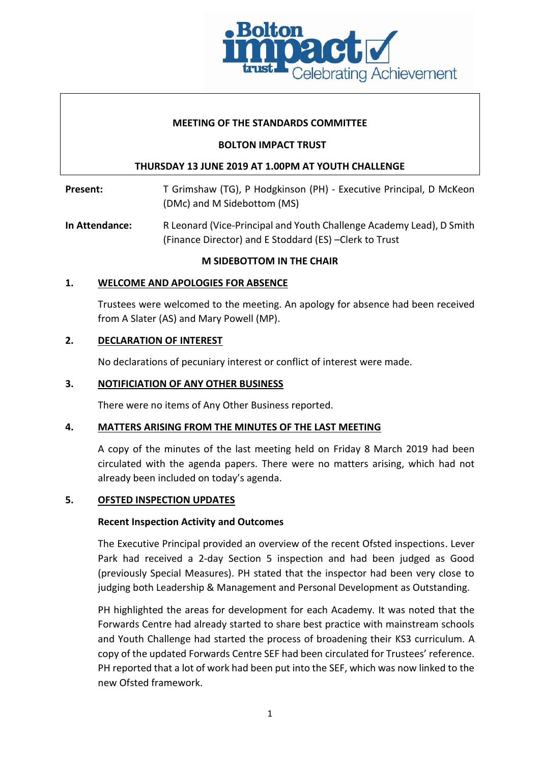

### **MEETING OF THE STANDARDS COMMITTEE**

## **BOLTON IMPACT TRUST**

## **THURSDAY 13 JUNE 2019 AT 1.00PM AT YOUTH CHALLENGE**

Present: T Grimshaw (TG), P Hodgkinson (PH) - Executive Principal, D McKeon (DMc) and M Sidebottom (MS)

**In Attendance:** R Leonard (Vice-Principal and Youth Challenge Academy Lead), D Smith (Finance Director) and E Stoddard (ES) –Clerk to Trust

## **M SIDEBOTTOM IN THE CHAIR**

## **1. WELCOME AND APOLOGIES FOR ABSENCE**

Trustees were welcomed to the meeting. An apology for absence had been received from A Slater (AS) and Mary Powell (MP).

## **2. DECLARATION OF INTEREST**

No declarations of pecuniary interest or conflict of interest were made.

### **3. NOTIFICIATION OF ANY OTHER BUSINESS**

There were no items of Any Other Business reported.

#### **4. MATTERS ARISING FROM THE MINUTES OF THE LAST MEETING**

A copy of the minutes of the last meeting held on Friday 8 March 2019 had been circulated with the agenda papers. There were no matters arising, which had not already been included on today's agenda.

#### **5. OFSTED INSPECTION UPDATES**

#### **Recent Inspection Activity and Outcomes**

The Executive Principal provided an overview of the recent Ofsted inspections. Lever Park had received a 2-day Section 5 inspection and had been judged as Good (previously Special Measures). PH stated that the inspector had been very close to judging both Leadership & Management and Personal Development as Outstanding.

PH highlighted the areas for development for each Academy. It was noted that the Forwards Centre had already started to share best practice with mainstream schools and Youth Challenge had started the process of broadening their KS3 curriculum. A copy of the updated Forwards Centre SEF had been circulated for Trustees' reference. PH reported that a lot of work had been put into the SEF, which was now linked to the new Ofsted framework.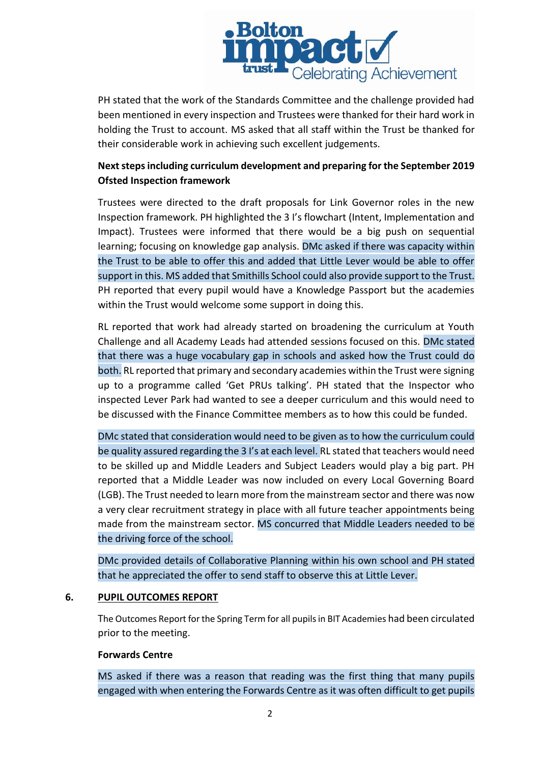

PH stated that the work of the Standards Committee and the challenge provided had been mentioned in every inspection and Trustees were thanked for their hard work in holding the Trust to account. MS asked that all staff within the Trust be thanked for their considerable work in achieving such excellent judgements.

# **Next steps including curriculum development and preparing for the September 2019 Ofsted Inspection framework**

Trustees were directed to the draft proposals for Link Governor roles in the new Inspection framework. PH highlighted the 3 I's flowchart (Intent, Implementation and Impact). Trustees were informed that there would be a big push on sequential learning; focusing on knowledge gap analysis. DMc asked if there was capacity within the Trust to be able to offer this and added that Little Lever would be able to offer support in this. MS added that Smithills School could also provide support to the Trust. PH reported that every pupil would have a Knowledge Passport but the academies within the Trust would welcome some support in doing this.

RL reported that work had already started on broadening the curriculum at Youth Challenge and all Academy Leads had attended sessions focused on this. DMc stated that there was a huge vocabulary gap in schools and asked how the Trust could do both. RL reported that primary and secondary academies within the Trust were signing up to a programme called 'Get PRUs talking'. PH stated that the Inspector who inspected Lever Park had wanted to see a deeper curriculum and this would need to be discussed with the Finance Committee members as to how this could be funded.

DMc stated that consideration would need to be given as to how the curriculum could be quality assured regarding the 3 I's at each level. RL stated that teachers would need to be skilled up and Middle Leaders and Subject Leaders would play a big part. PH reported that a Middle Leader was now included on every Local Governing Board (LGB). The Trust needed to learn more from the mainstream sector and there was now a very clear recruitment strategy in place with all future teacher appointments being made from the mainstream sector. MS concurred that Middle Leaders needed to be the driving force of the school.

DMc provided details of Collaborative Planning within his own school and PH stated that he appreciated the offer to send staff to observe this at Little Lever.

#### **6. PUPIL OUTCOMES REPORT**

The Outcomes Report for the Spring Term for all pupils in BIT Academies had been circulated prior to the meeting.

#### **Forwards Centre**

MS asked if there was a reason that reading was the first thing that many pupils engaged with when entering the Forwards Centre as it was often difficult to get pupils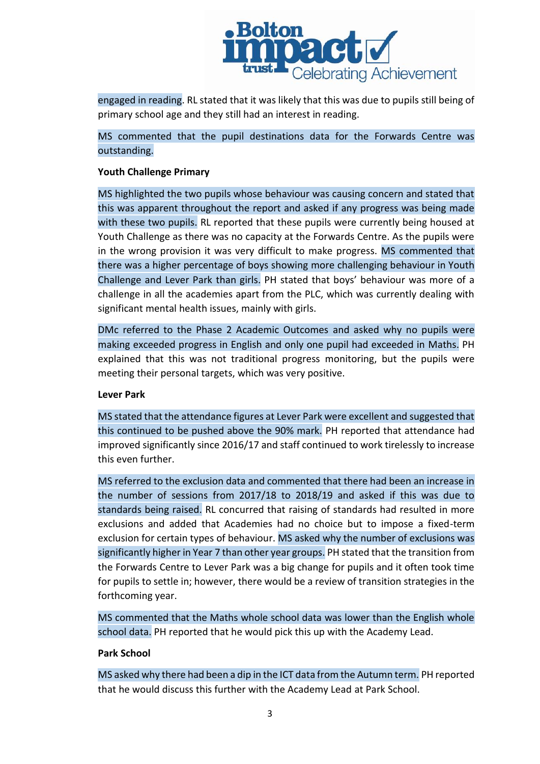

engaged in reading. RL stated that it was likely that this was due to pupils still being of primary school age and they still had an interest in reading.

MS commented that the pupil destinations data for the Forwards Centre was outstanding.

## **Youth Challenge Primary**

MS highlighted the two pupils whose behaviour was causing concern and stated that this was apparent throughout the report and asked if any progress was being made with these two pupils. RL reported that these pupils were currently being housed at Youth Challenge as there was no capacity at the Forwards Centre. As the pupils were in the wrong provision it was very difficult to make progress. MS commented that there was a higher percentage of boys showing more challenging behaviour in Youth Challenge and Lever Park than girls. PH stated that boys' behaviour was more of a challenge in all the academies apart from the PLC, which was currently dealing with significant mental health issues, mainly with girls.

DMc referred to the Phase 2 Academic Outcomes and asked why no pupils were making exceeded progress in English and only one pupil had exceeded in Maths. PH explained that this was not traditional progress monitoring, but the pupils were meeting their personal targets, which was very positive.

#### **Lever Park**

MS stated that the attendance figures at Lever Park were excellent and suggested that this continued to be pushed above the 90% mark. PH reported that attendance had improved significantly since 2016/17 and staff continued to work tirelessly to increase this even further.

MS referred to the exclusion data and commented that there had been an increase in the number of sessions from 2017/18 to 2018/19 and asked if this was due to standards being raised. RL concurred that raising of standards had resulted in more exclusions and added that Academies had no choice but to impose a fixed-term exclusion for certain types of behaviour. MS asked why the number of exclusions was significantly higher in Year 7 than other year groups. PH stated that the transition from the Forwards Centre to Lever Park was a big change for pupils and it often took time for pupils to settle in; however, there would be a review of transition strategies in the forthcoming year.

MS commented that the Maths whole school data was lower than the English whole school data. PH reported that he would pick this up with the Academy Lead.

#### **Park School**

MS asked why there had been a dip in the ICT data from the Autumn term. PH reported that he would discuss this further with the Academy Lead at Park School.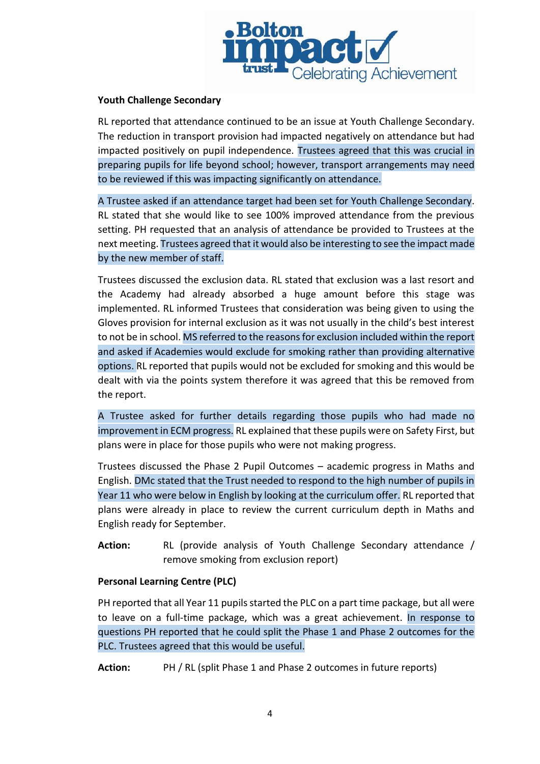

## **Youth Challenge Secondary**

RL reported that attendance continued to be an issue at Youth Challenge Secondary. The reduction in transport provision had impacted negatively on attendance but had impacted positively on pupil independence. Trustees agreed that this was crucial in preparing pupils for life beyond school; however, transport arrangements may need to be reviewed if this was impacting significantly on attendance.

A Trustee asked if an attendance target had been set for Youth Challenge Secondary. RL stated that she would like to see 100% improved attendance from the previous setting. PH requested that an analysis of attendance be provided to Trustees at the next meeting. Trustees agreed that it would also be interesting to see the impact made by the new member of staff.

Trustees discussed the exclusion data. RL stated that exclusion was a last resort and the Academy had already absorbed a huge amount before this stage was implemented. RL informed Trustees that consideration was being given to using the Gloves provision for internal exclusion as it was not usually in the child's best interest to not be in school. MS referred to the reasons for exclusion included within the report and asked if Academies would exclude for smoking rather than providing alternative options. RL reported that pupils would not be excluded for smoking and this would be dealt with via the points system therefore it was agreed that this be removed from the report.

A Trustee asked for further details regarding those pupils who had made no improvement in ECM progress. RL explained that these pupils were on Safety First, but plans were in place for those pupils who were not making progress.

Trustees discussed the Phase 2 Pupil Outcomes – academic progress in Maths and English. DMc stated that the Trust needed to respond to the high number of pupils in Year 11 who were below in English by looking at the curriculum offer. RL reported that plans were already in place to review the current curriculum depth in Maths and English ready for September.

**Action:** RL (provide analysis of Youth Challenge Secondary attendance / remove smoking from exclusion report)

#### **Personal Learning Centre (PLC)**

PH reported that all Year 11 pupils started the PLC on a part time package, but all were to leave on a full-time package, which was a great achievement. In response to questions PH reported that he could split the Phase 1 and Phase 2 outcomes for the PLC. Trustees agreed that this would be useful.

**Action:** PH / RL (split Phase 1 and Phase 2 outcomes in future reports)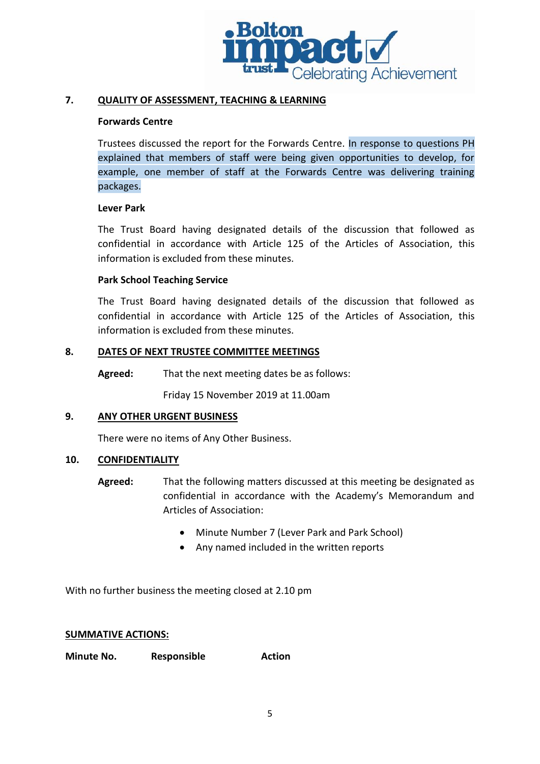

### **7. QUALITY OF ASSESSMENT, TEACHING & LEARNING**

#### **Forwards Centre**

Trustees discussed the report for the Forwards Centre. In response to questions PH explained that members of staff were being given opportunities to develop, for example, one member of staff at the Forwards Centre was delivering training packages.

#### **Lever Park**

The Trust Board having designated details of the discussion that followed as confidential in accordance with Article 125 of the Articles of Association, this information is excluded from these minutes.

## **Park School Teaching Service**

The Trust Board having designated details of the discussion that followed as confidential in accordance with Article 125 of the Articles of Association, this information is excluded from these minutes.

## **8. DATES OF NEXT TRUSTEE COMMITTEE MEETINGS**

**Agreed:** That the next meeting dates be as follows:

Friday 15 November 2019 at 11.00am

## **9. ANY OTHER URGENT BUSINESS**

There were no items of Any Other Business.

#### **10. CONFIDENTIALITY**

- **Agreed:** That the following matters discussed at this meeting be designated as confidential in accordance with the Academy's Memorandum and Articles of Association:
	- Minute Number 7 (Lever Park and Park School)
	- Any named included in the written reports

With no further business the meeting closed at 2.10 pm

#### **SUMMATIVE ACTIONS:**

**Minute No. Responsible Action**